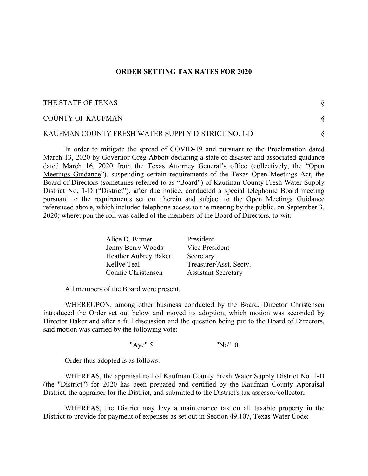## **ORDER SETTING TAX RATES FOR 2020**

| THE STATE OF TEXAS                                 |  |
|----------------------------------------------------|--|
| COUNTY OF KAUFMAN                                  |  |
| KAUFMAN COUNTY FRESH WATER SUPPLY DISTRICT NO. 1-D |  |

In order to mitigate the spread of COVID-19 and pursuant to the Proclamation dated March 13, 2020 by Governor Greg Abbott declaring a state of disaster and associated guidance dated March 16, 2020 from the Texas Attorney General's office (collectively, the "Open Meetings Guidance"), suspending certain requirements of the Texas Open Meetings Act, the Board of Directors (sometimes referred to as "Board") of Kaufman County Fresh Water Supply District No. 1-D ("District"), after due notice, conducted a special telephonic Board meeting pursuant to the requirements set out therein and subject to the Open Meetings Guidance referenced above, which included telephone access to the meeting by the public, on September 3, 2020; whereupon the roll was called of the members of the Board of Directors, to-wit:

| Alice D. Bittner     | President                  |
|----------------------|----------------------------|
| Jenny Berry Woods    | Vice President             |
| Heather Aubrey Baker | Secretary                  |
| Kellye Teal          | Treasurer/Asst. Secty.     |
| Connie Christensen   | <b>Assistant Secretary</b> |

All members of the Board were present.

WHEREUPON, among other business conducted by the Board, Director Christensen introduced the Order set out below and moved its adoption, which motion was seconded by Director Baker and after a full discussion and the question being put to the Board of Directors, said motion was carried by the following vote:

"Aye" 5 "No" 0.

Order thus adopted is as follows:

WHEREAS, the appraisal roll of Kaufman County Fresh Water Supply District No. 1-D (the "District") for 2020 has been prepared and certified by the Kaufman County Appraisal District, the appraiser for the District, and submitted to the District's tax assessor/collector;

WHEREAS, the District may levy a maintenance tax on all taxable property in the District to provide for payment of expenses as set out in Section 49.107, Texas Water Code;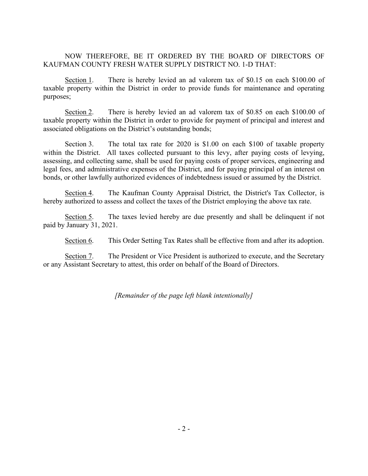## NOW THEREFORE, BE IT ORDERED BY THE BOARD OF DIRECTORS OF KAUFMAN COUNTY FRESH WATER SUPPLY DISTRICT NO. 1-D THAT:

Section 1. There is hereby levied an ad valorem tax of \$0.15 on each \$100.00 of taxable property within the District in order to provide funds for maintenance and operating purposes;

Section 2. There is hereby levied an ad valorem tax of \$0.85 on each \$100.00 of taxable property within the District in order to provide for payment of principal and interest and associated obligations on the District's outstanding bonds;

Section 3. The total tax rate for 2020 is \$1.00 on each \$100 of taxable property within the District. All taxes collected pursuant to this levy, after paying costs of levying, assessing, and collecting same, shall be used for paying costs of proper services, engineering and legal fees, and administrative expenses of the District, and for paying principal of an interest on bonds, or other lawfully authorized evidences of indebtedness issued or assumed by the District.

Section 4. The Kaufman County Appraisal District, the District's Tax Collector, is hereby authorized to assess and collect the taxes of the District employing the above tax rate.

Section 5. The taxes levied hereby are due presently and shall be delinquent if not paid by January 31, 2021.

Section 6. This Order Setting Tax Rates shall be effective from and after its adoption.

Section 7. The President or Vice President is authorized to execute, and the Secretary or any Assistant Secretary to attest, this order on behalf of the Board of Directors.

*[Remainder of the page left blank intentionally]*